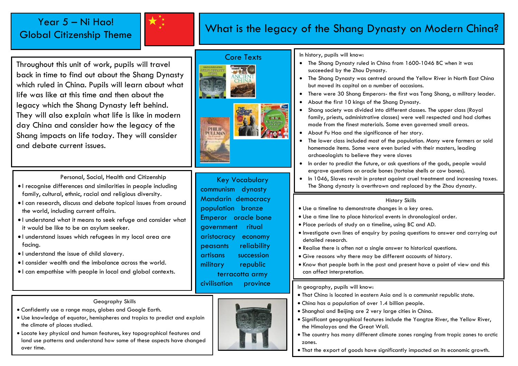# Year 5 – Ni Hao! Global Citizenship Theme



# What is the legacy of the Shang Dynasty on Modern China?

Throughout this unit of work, pupils will travel back in time to find out about the Shang Dynasty which ruled in China. Pupils will learn about what life was like at this time and then about the legacy which the Shang Dynasty left behind. They will also explain what life is like in modern day China and consider how the legacy of the Shang impacts on life today. They will consider and debate current issues.

## Core Texts





Personal, Social, Health and Citizenship

- I recognise differences and similarities in people including family, cultural, ethnic, racial and religious diversity.
- I can research, discuss and debate topical issues from around the world, including current affairs.
- I understand what it means to seek refuge and consider what it would be like to be an asylum seeker.
- I understand issues which refugees in my local area are facing.
- I understand the issue of child slavery.
- I consider wealth and the imbalance across the world.
- I can empathise with people in local and global contexts.

## Geography Skills

- Confidently use a range maps, globes and Google Earth.
- Use knowledge of equator, hemispheres and tropics to predict and explain the climate of places studied.
- Locate key physical and human features, key topographical features and land use patterns and understand how some of these aspects have changed over time.

Key Vocabulary communism dynasty Mandarin democracy population bronze Emperor oracle bone government ritual aristocracy economy peasants reliability artisans succession military republic terracotta army civilisation province



#### In history, pupils will know:

- The Shang Dynasty ruled in China from 1600-1046 BC when it was succeeded by the Zhou Dynasty.
- The Shang Dynasty was centred around the Yellow River in North East China but moved its capital on a number of occasions.
- There were 30 Shang Emperors- the first was Tang Shang, a military leader.
- About the first 10 kings of the Shang Dynasty.
- Shang society was divided into different classes. The upper class (Royal family, priests, administrative classes) were well respected and had clothes made from the finest materials. Some even governed small areas.
- About Fu Hao and the significance of her story.
- The lower class included most of the population. Many were farmers or sold homemade items. Some were even buried with their masters, leading archaeologists to believe they were slaves
- In order to predict the future, or ask questions of the gods, people would engrave questions on oracle bones (tortoise shells or cow bones).
- In 1046, Slaves revolt in protest against cruel treatment and increasing taxes. The Shang dynasty is overthrown and replaced by the Zhou dynasty.

#### History Skills

- Use a timeline to demonstrate changes in a key area.
- Use a time line to place historical events in chronological order.
- Place periods of study on a timeline, using BC and AD.
- Investigate own lines of enquiry by posing questions to answer and carrying out detailed research.
- Realise there is often not a single answer to historical questions.
- Give reasons why there may be different accounts of history.
- Know that people both in the past and present have a point of view and this can affect interpretation.

### In geography, pupils will know:

- That China is located in eastern Asia and is a communist republic state.
- China has a population of over 1.4 billion people.
- Shanghai and Beijing are 2 very large cities in China.
- Significant geographical features include the Yangtze River, the Yellow River, the Himalayas and the Great Wall.
- The country has many different climate zones ranging from tropic zones to arctic zones.
- That the export of goods have significantly impacted on its economic growth.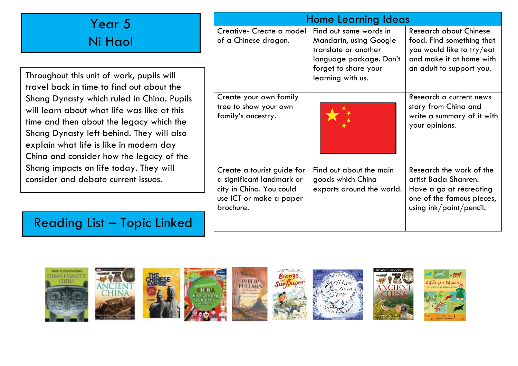| Year 5<br>Ni Hao!                                                                                                                                                                                                                                                         | <b>Home Learning Ideas</b>                                                                                                  |                                                                                 |                                                                                                                                     |
|---------------------------------------------------------------------------------------------------------------------------------------------------------------------------------------------------------------------------------------------------------------------------|-----------------------------------------------------------------------------------------------------------------------------|---------------------------------------------------------------------------------|-------------------------------------------------------------------------------------------------------------------------------------|
|                                                                                                                                                                                                                                                                           | Creative- Create a model<br>of a Chinese dragon.                                                                            | Find out some words in<br><b>Mandarin, using Google</b><br>translate or another | <b>Research about Chinese</b><br>food. Find something that<br>you would like to try/eat                                             |
| Throughout this unit of work, pupils will<br>travel back in time to find out about the                                                                                                                                                                                    |                                                                                                                             | language package. Don't<br>forget to share your<br>learning with us.            | and make it at home with<br>an adult to support you.                                                                                |
| Shang Dynasty which ruled in China. Pupils<br>will learn about what life was like at this<br>time and then about the legacy which the<br>Shang Dynasty left behind. They will also<br>explain what life is like in modern day<br>China and consider how the legacy of the | Create your own family<br>tree to show your own<br>family's ancestry.                                                       |                                                                                 | Research a current news<br>story from China and<br>write a summary of it with<br>your opinions.                                     |
| Shang impacts on life today. They will<br>consider and debate current issues.                                                                                                                                                                                             | Create a tourist guide for<br>a significant landmark or<br>city in China. You could<br>use ICT or make a paper<br>brochure. | Find out about the main<br>goods which China<br>exports around the world.       | Research the work of the<br>artist Bada Shanren.<br>Have a go at recreating<br>one of the famous pieces,<br>using ink/paint/pencil. |
| <b>Reading List - Topic Linked</b>                                                                                                                                                                                                                                        |                                                                                                                             |                                                                                 |                                                                                                                                     |